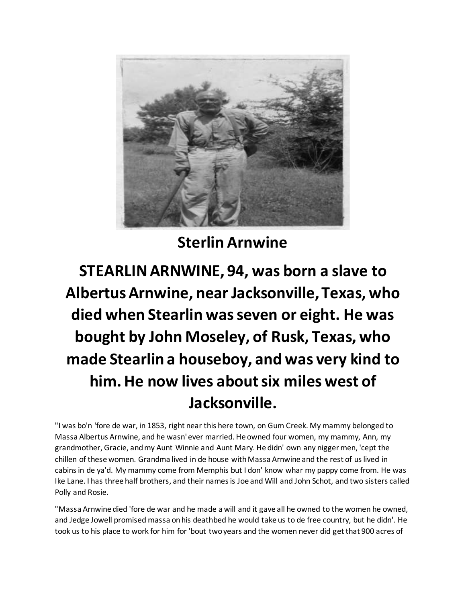

**Sterlin Arnwine**

## **STEARLIN ARNWINE, 94, was born a slave to Albertus Arnwine, near Jacksonville, Texas, who died when Stearlin was seven or eight. He was bought by John Moseley, of Rusk, Texas, who made Stearlin a houseboy, and was very kind to him. He now lives about six miles west of Jacksonville.**

"I was bo'n 'fore de war, in 1853, right near this here town, on Gum Creek. My mammy belonged to Massa Albertus Arnwine, and he wasn' ever married. He owned four women, my mammy, Ann, my grandmother, Gracie, and my Aunt Winnie and Aunt Mary. He didn' own any nigger men, 'cept the chillen of these women. Grandma lived in de house with Massa Arnwine and the rest of us lived in cabins in de ya'd. My mammy come from Memphis but I don' know whar my pappy come from. He was Ike Lane. I has three half brothers, and their names is Joe and Will and John Schot, and two sisters called Polly and Rosie.

"Massa Arnwine died 'fore de war and he made a will and it gave all he owned to the women he owned, and Jedge Jowell promised massa on his deathbed he would take us to de free country, but he didn'. He took us to his place to work for him for 'bout two years and the women never did get that 900 acres of